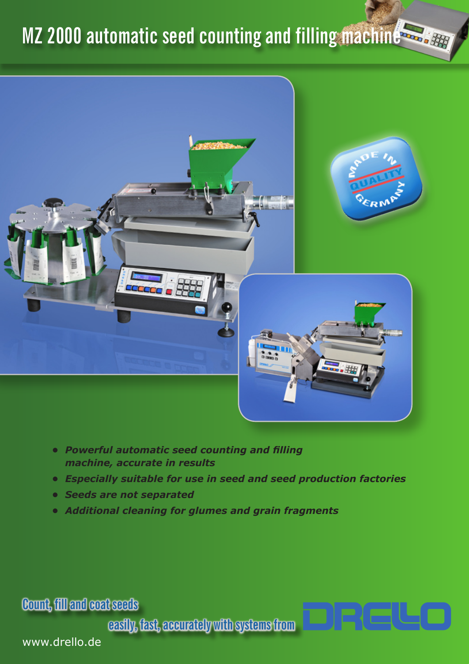# **MZ 2000 automatic seed counting and filling machine**



- *• Powerful automatic seed counting and filling machine, accurate in results*
- *• Especially suitable for use in seed and seed production factories*
- *• Seeds are not separated*
- *• Additional cleaning for glumes and grain fragments*

**Count, fill and coat seeds**

**easily, fast, accurately with systems from**

www.drello.de